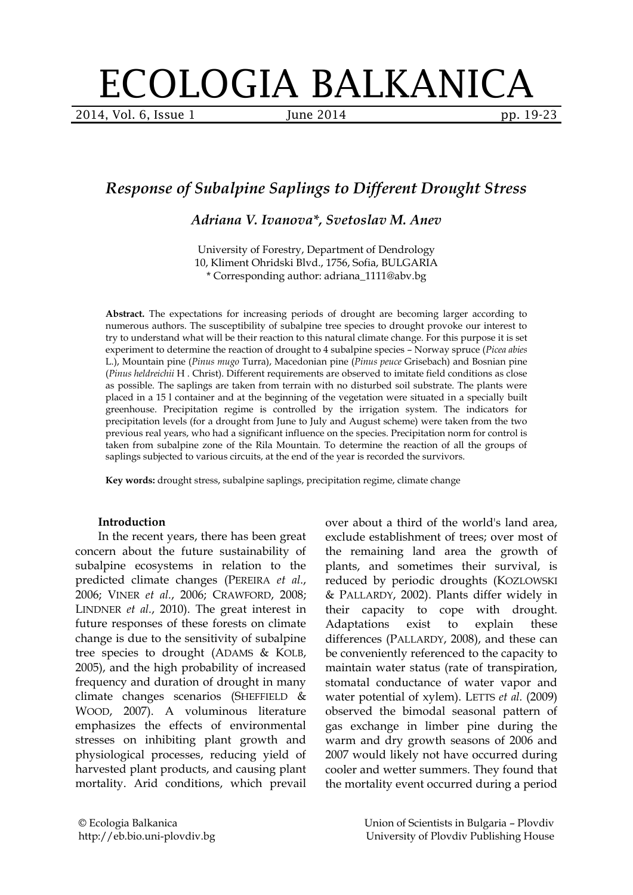# ECOLOGIA BALKANICA

2014, Vol. 6, Issue 1 June 2014 **pp. 19-23** 

## *Response of Subalpine Saplings to Different Drought Stress*

*Adriana V. Ivanova\*, Svetoslav M. Anev*

University of Forestry, Department of Dendrology 10, Kliment Ohridski Blvd., 1756, Sofia, BULGARIA \* Corresponding author: adriana\_1111@abv.bg

**Abstract.** The expectations for increasing periods of drought are becoming larger according to numerous authors. The susceptibility of subalpine tree species to drought provoke our interest to try to understand what will be their reaction to this natural climate change. For this purpose it is set experiment to determine the reaction of drought to 4 subalpine species – Norway spruce (*Picea abies* L.), Mountain pine (*Pinus mugo* Turra), Macedonian pine (*Pinus peuce* Grisebach) and Bosnian pine (*Pinus heldreichii* H . Christ). Different requirements are observed to imitate field conditions as close as possible. The saplings are taken from terrain with no disturbed soil substrate. The plants were placed in a 15 l container and at the beginning of the vegetation were situated in a specially built greenhouse. Precipitation regime is controlled by the irrigation system. The indicators for precipitation levels (for a drought from June to July and August scheme) were taken from the two previous real years, who had a significant influence on the species. Precipitation norm for control is taken from subalpine zone of the Rila Mountain. To determine the reaction of all the groups of saplings subjected to various circuits, at the end of the year is recorded the survivors.

**Key words:** drought stress, subalpine saplings, precipitation regime, climate change

### **Introduction**

In the recent years, there has been great concern about the future sustainability of subalpine ecosystems in relation to the predicted climate changes (P[EREIRA](file:///D:/___SCIENCE___/___SCIENTIFIC_JOURNALS_EDITORIAL___/Ecologia%20Balkanica/Broi%2009%20(June%202014)/eb.13126_%5b12.11.2013%5d_za_pravene_na_PDF/eb.13126_FINAL.doc%23_ENREF_12) *et al.*, [2006;](file:///D:/___SCIENCE___/___SCIENTIFIC_JOURNALS_EDITORIAL___/Ecologia%20Balkanica/Broi%2009%20(June%202014)/eb.13126_%5b12.11.2013%5d_za_pravene_na_PDF/eb.13126_FINAL.doc%23_ENREF_12) VINER *et al.*[, 2006;](file:///D:/___SCIENCE___/___SCIENTIFIC_JOURNALS_EDITORIAL___/Ecologia%20Balkanica/Broi%2009%20(June%202014)/eb.13126_%5b12.11.2013%5d_za_pravene_na_PDF/eb.13126_FINAL.doc%23_ENREF_16) C[RAWFORD](file:///D:/___SCIENCE___/___SCIENTIFIC_JOURNALS_EDITORIAL___/Ecologia%20Balkanica/Broi%2009%20(June%202014)/eb.13126_%5b12.11.2013%5d_za_pravene_na_PDF/eb.13126_FINAL.doc%23_ENREF_4), 2008; LINDNER *et al.*[, 2010\)](file:///D:/___SCIENCE___/___SCIENTIFIC_JOURNALS_EDITORIAL___/Ecologia%20Balkanica/Broi%2009%20(June%202014)/eb.13126_%5b12.11.2013%5d_za_pravene_na_PDF/eb.13126_FINAL.doc%23_ENREF_8). The great interest in future responses of these forests on climate change is due to the sensitivity of subalpine tree species to drought (ADAMS [& K](file:///D:/___SCIENCE___/___SCIENTIFIC_JOURNALS_EDITORIAL___/Ecologia%20Balkanica/Broi%2009%20(June%202014)/eb.13126_%5b12.11.2013%5d_za_pravene_na_PDF/eb.13126_FINAL.doc%23_ENREF_1)OLB, [2005\)](file:///D:/___SCIENCE___/___SCIENTIFIC_JOURNALS_EDITORIAL___/Ecologia%20Balkanica/Broi%2009%20(June%202014)/eb.13126_%5b12.11.2013%5d_za_pravene_na_PDF/eb.13126_FINAL.doc%23_ENREF_1), and the high probability of increased frequency and duration of drought in many climate changes scenarios (S[HEFFIELD](file:///D:/___SCIENCE___/___SCIENTIFIC_JOURNALS_EDITORIAL___/Ecologia%20Balkanica/Broi%2009%20(June%202014)/eb.13126_%5b12.11.2013%5d_za_pravene_na_PDF/eb.13126_FINAL.doc%23_ENREF_14) & WOOD[, 2007\)](file:///D:/___SCIENCE___/___SCIENTIFIC_JOURNALS_EDITORIAL___/Ecologia%20Balkanica/Broi%2009%20(June%202014)/eb.13126_%5b12.11.2013%5d_za_pravene_na_PDF/eb.13126_FINAL.doc%23_ENREF_14). A voluminous literature emphasizes the effects of environmental stresses on inhibiting plant growth and physiological processes, reducing yield of harvested plant products, and causing plant mortality. Arid conditions, which prevail

over about a third of the world's land area, exclude establishment of trees; over most of the remaining land area the growth of plants, and sometimes their survival, is reduced by periodic droughts (K[OZLOWSKI](file:///D:/___SCIENCE___/___SCIENTIFIC_JOURNALS_EDITORIAL___/Ecologia%20Balkanica/Broi%2009%20(June%202014)/eb.13126_%5b12.11.2013%5d_za_pravene_na_PDF/eb.13126_FINAL.doc%23_ENREF_6) & P[ALLARDY](file:///D:/___SCIENCE___/___SCIENTIFIC_JOURNALS_EDITORIAL___/Ecologia%20Balkanica/Broi%2009%20(June%202014)/eb.13126_%5b12.11.2013%5d_za_pravene_na_PDF/eb.13126_FINAL.doc%23_ENREF_6), 2002). Plants differ widely in their capacity to cope with drought. Adaptations exist to explain these differences (P[ALLARDY](file:///D:/___SCIENCE___/___SCIENTIFIC_JOURNALS_EDITORIAL___/Ecologia%20Balkanica/Broi%2009%20(June%202014)/eb.13126_%5b12.11.2013%5d_za_pravene_na_PDF/eb.13126_FINAL.doc%23_ENREF_10), 2008), and these can be conveniently referenced to the capacity to maintain water status (rate of transpiration, stomatal conductance of water vapor and water potential of xylem). LETTS *et al.* [\(2009\)](file:///D:/___SCIENCE___/___SCIENTIFIC_JOURNALS_EDITORIAL___/Ecologia%20Balkanica/Broi%2009%20(June%202014)/eb.13126_%5b12.11.2013%5d_za_pravene_na_PDF/eb.13126_FINAL.doc%23_ENREF_7) observed the bimodal seasonal pattern of gas exchange in limber pine during the warm and dry growth seasons of 2006 and 2007 would likely not have occurred during cooler and wetter summers. They found that the mortality event occurred during a period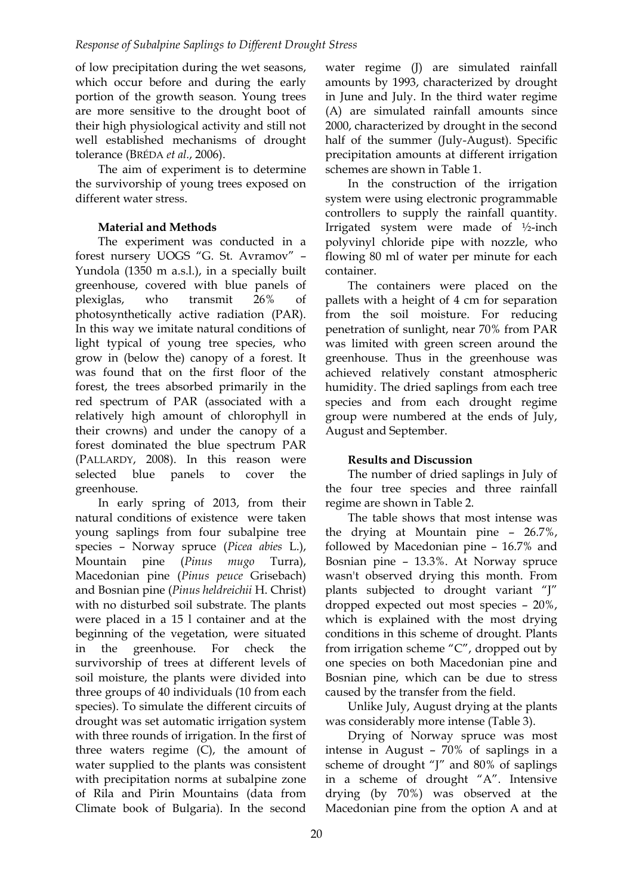of low precipitation during the wet seasons, which occur before and during the early portion of the growth season. Young trees are more sensitive to the drought boot of their high physiological activity and still not well established mechanisms of drought tolerance (BRÉDA *et al.*[, 2006\)](file:///D:/___SCIENCE___/___SCIENTIFIC_JOURNALS_EDITORIAL___/Ecologia%20Balkanica/Broi%2009%20(June%202014)/eb.13126_%5b12.11.2013%5d_za_pravene_na_PDF/eb.13126_FINAL.doc%23_ENREF_3).

The aim of experiment is to determine the survivorship of young trees exposed on different water stress.

## **Material and Methods**

The experiment was conducted in a forest nursery UOGS "G. St. Avramov" – Yundola (1350 m a.s.l.), in a specially built greenhouse, covered with blue panels of plexiglas, who transmit 26% of photosynthetically active radiation (PAR). In this way we imitate natural conditions of light typical of young tree species, who grow in (below the) canopy of a forest. It was found that on the first floor of the forest, the trees absorbed primarily in the red spectrum of PAR (associated with a relatively high amount of chlorophyll in their crowns) and under the canopy of a forest dominated the blue spectrum PAR (PALLARDY[, 2008\)](file:///D:/___SCIENCE___/___SCIENTIFIC_JOURNALS_EDITORIAL___/Ecologia%20Balkanica/Broi%2009%20(June%202014)/eb.13126_%5b12.11.2013%5d_za_pravene_na_PDF/eb.13126_FINAL.doc%23_ENREF_10). In this reason were selected blue panels to cover the greenhouse.

In early spring of 2013, from their natural conditions of existence were taken young saplings from four subalpine tree species – Norway spruce (*Picea abies* L.), Mountain pine (*Pinus mugo* Turra), Macedonian pine (*Pinus peuce* Grisebach) and Bosnian pine (*Pinus heldreichii* H. Christ) with no disturbed soil substrate. The plants were placed in a 15 l container and at the beginning of the vegetation, were situated in the greenhouse. For check the survivorship of trees at different levels of soil moisture, the plants were divided into three groups of 40 individuals (10 from each species). To simulate the different circuits of drought was set automatic irrigation system with three rounds of irrigation. In the first of three waters regime (C), the amount of water supplied to the plants was consistent with precipitation norms at subalpine zone of Rila and Pirin Mountains (data from Climate book of Bulgaria). In the second

water regime (J) are simulated rainfall amounts by 1993, characterized by drought in June and July. In the third water regime (A) are simulated rainfall amounts since 2000, characterized by drought in the second half of the summer (July-August). Specific precipitation amounts at different irrigation schemes are shown in Table 1.

In the construction of the irrigation system were using electronic programmable controllers to supply the rainfall quantity. Irrigated system were made of ½-inch polyvinyl chloride pipe with nozzle, who flowing 80 ml of water per minute for each container.

The containers were placed on the pallets with a height of 4 cm for separation from the soil moisture. For reducing penetration of sunlight, near 70% from PAR was limited with green screen around the greenhouse. Thus in the greenhouse was achieved relatively constant atmospheric humidity. The dried saplings from each tree species and from each drought regime group were numbered at the ends of July, August and September.

## **Results and Discussion**

The number of dried saplings in July of the four tree species and three rainfall regime are shown in Table 2.

The table shows that most intense was the drying at Mountain pine – 26.7%, followed by Macedonian pine – 16.7% and Bosnian pine – 13.3%. At Norway spruce wasn't observed drying this month. From plants subjected to drought variant "J" dropped expected out most species – 20%, which is explained with the most drying conditions in this scheme of drought. Plants from irrigation scheme "C", dropped out by one species on both Macedonian pine and Bosnian pine, which can be due to stress caused by the transfer from the field.

Unlike July, August drying at the plants was considerably more intense (Table 3).

Drying of Norway spruce was most intense in August – 70% of saplings in a scheme of drought "J" and 80% of saplings in a scheme of drought "A". Intensive drying (by 70%) was observed at the Macedonian pine from the option A and at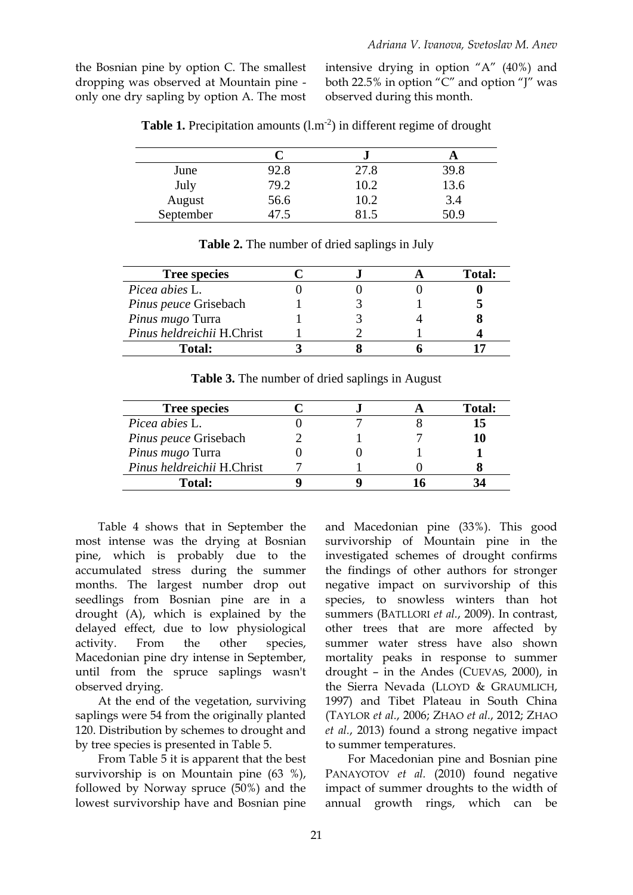the Bosnian pine by option C. The smallest dropping was observed at Mountain pine only one dry sapling by option A. The most intensive drying in option "A" (40%) and both 22.5% in option "C" and option "J" was observed during this month.

|           |      | e.   |      |
|-----------|------|------|------|
| June      | 92.8 | 27.8 | 39.8 |
| July      | 79.2 | 10.2 | 13.6 |
| August    | 56.6 | 10.2 | 3.4  |
| September |      |      | 50.9 |

**Table 1.** Precipitation amounts  $(l.m^{-2})$  in different regime of drought

| <b>Tree species</b>        |  | <b>Total:</b> |
|----------------------------|--|---------------|
| <i>Picea abies L.</i>      |  |               |
| Pinus peuce Grisebach      |  |               |
| Pinus mugo Turra           |  |               |
| Pinus heldreichii H.Christ |  |               |
| <b>Total:</b>              |  |               |

**Table 2.** The number of dried saplings in July

**Table 3.** The number of dried saplings in August

| <b>Tree species</b>          |  | <b>Total:</b> |
|------------------------------|--|---------------|
| Picea abies L.               |  | 15            |
| <i>Pinus peuce Grisebach</i> |  |               |
| Pinus mugo Turra             |  |               |
| Pinus heldreichii H.Christ   |  |               |
| <b>Total:</b>                |  |               |

Table 4 shows that in September the most intense was the drying at Bosnian pine, which is probably due to the accumulated stress during the summer months. The largest number drop out seedlings from Bosnian pine are in a drought (A), which is explained by the delayed effect, due to low physiological activity. From the other species, Macedonian pine dry intense in September, until from the spruce saplings wasn't observed drying.

At the end of the vegetation, surviving saplings were 54 from the originally planted 120. Distribution by schemes to drought and by tree species is presented in Table 5.

From Table 5 it is apparent that the best survivorship is on Mountain pine (63 %), followed by Norway spruce (50%) and the lowest survivorship have and Bosnian pine

and Macedonian pine (33%). This good survivorship of Mountain pine in the investigated schemes of drought confirms the findings of other authors for stronger negative impact on survivorship of this species, to snowless winters than hot summers (BATLLORI *et al.*, 2009). In contrast, other trees that are more affected by summer water stress have also shown mortality peaks in response to summer drought – in the Andes (CUEVAS, 2000), in the Sierra Nevada (LLOYD & GRAUMLICH, 1997) and Tibet Plateau in South China (TAYLOR *et al.*, 2006; ZHAO *et al.*, 2012; ZHAO *et al.*, 2013) found a strong negative impact to summer temperatures.

For Macedonian pine and Bosnian pine PANAYOTOV *et al.* (2010) found negative impact of summer droughts to the width of annual growth rings, which can be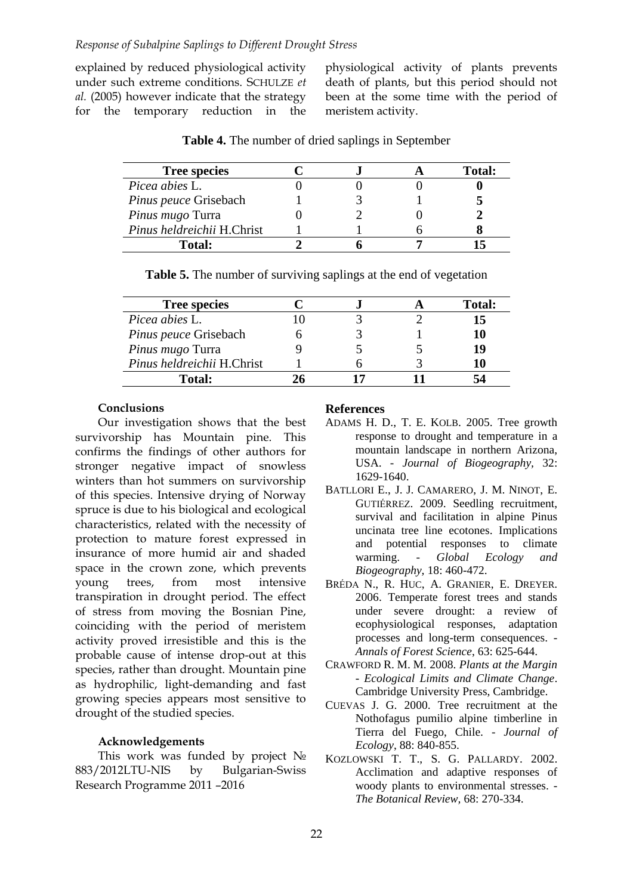explained by reduced physiological activity under such extreme conditions. SCHULZE *et al.* (2005) however indicate that the strategy for the temporary reduction in the physiological activity of plants prevents death of plants, but this period should not been at the some time with the period of meristem activity.

| <b>Tree species</b>        |  | Total: |
|----------------------------|--|--------|
| <i>Picea abies L.</i>      |  |        |
| Pinus peuce Grisebach      |  |        |
| Pinus mugo Turra           |  |        |
| Pinus heldreichii H.Christ |  |        |
| <b>Total:</b>              |  |        |

**Table 4.** The number of dried saplings in September

| <b>Tree species</b>          |  | Total: |
|------------------------------|--|--------|
| Picea abies L.               |  |        |
| <i>Pinus peuce Grisebach</i> |  | 10     |
| Pinus mugo Turra             |  | 19     |
| Pinus heldreichii H.Christ   |  | 10     |
| Total:                       |  |        |

**Table 5.** The number of surviving saplings at the end of vegetation

### **Conclusions**

Our investigation shows that the best survivorship has Mountain pine. This confirms the findings of other authors for stronger negative impact of snowless winters than hot summers on survivorship of this species. Intensive drying of Norway spruce is due to his biological and ecological characteristics, related with the necessity of protection to mature forest expressed in insurance of more humid air and shaded space in the crown zone, which prevents young trees, from most intensive transpiration in drought period. The effect of stress from moving the Bosnian Pine, coinciding with the period of meristem activity proved irresistible and this is the probable cause of intense drop-out at this species, rather than drought. Mountain pine as hydrophilic, light-demanding and fast growing species appears most sensitive to drought of the studied species.

## **Acknowledgements**

This work was funded by project № 883/2012LTU-NIS by Bulgarian-Swiss Research Programme 2011 –2016

#### **References**

- ADAMS H. D., T. E. KOLB. 2005. Tree growth response to drought and temperature in a mountain landscape in northern Arizona, USA. - *Journal of Biogeography,* 32: 1629-1640.
- BATLLORI E., J. J. CAMARERO, J. M. NINOT, E. GUTIÉRREZ. 2009. Seedling recruitment, survival and facilitation in alpine Pinus uncinata tree line ecotones. Implications and potential responses to climate warming. - *Global Ecology and Biogeography,* 18: 460-472.
- BRÉDA N., R. HUC, A. GRANIER, E. DREYER. 2006. Temperate forest trees and stands under severe drought: a review of ecophysiological responses, adaptation processes and long-term consequences. - *Annals of Forest Science*, 63: 625-644.
- CRAWFORD R. M. M. 2008. *Plants at the Margin - Ecological Limits and Climate Change*. Cambridge University Press, Cambridge.
- CUEVAS J. G. 2000. Tree recruitment at the Nothofagus pumilio alpine timberline in Tierra del Fuego, Chile. - *Journal of Ecology*, 88: 840-855.
- KOZLOWSKI T. T., S. G. PALLARDY. 2002. Acclimation and adaptive responses of woody plants to environmental stresses. - *The Botanical Review,* 68: 270-334.